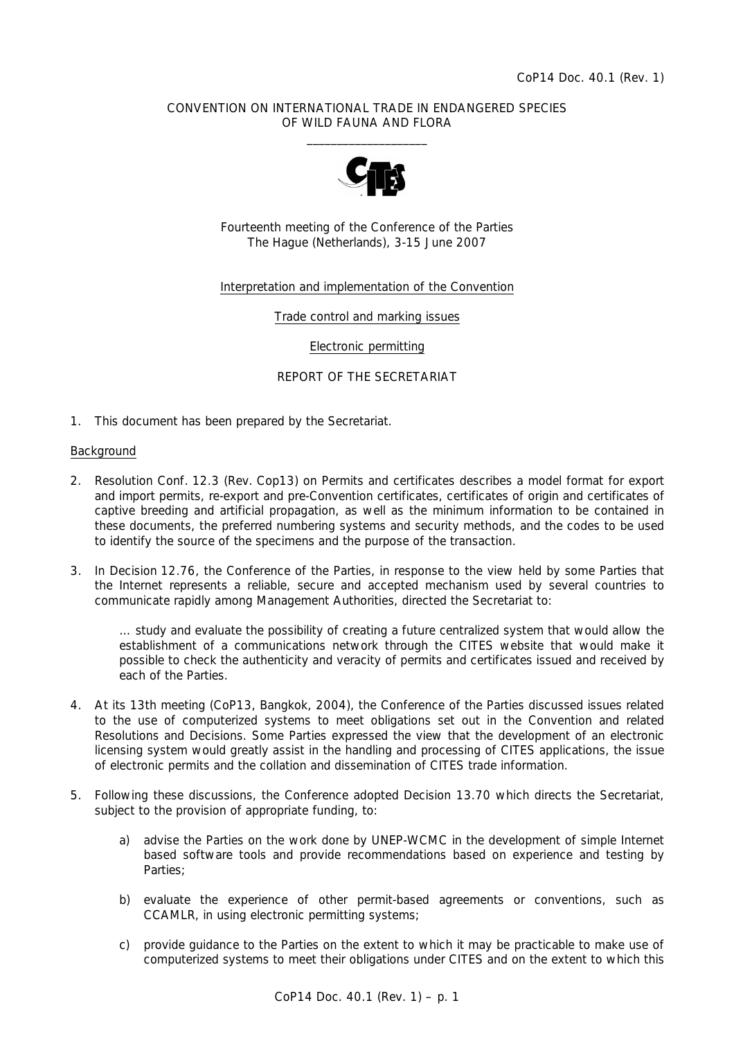## CONVENTION ON INTERNATIONAL TRADE IN ENDANGERED SPECIES OF WILD FAUNA AND FLORA  $\overline{\phantom{a}}$  , which is a set of the set of the set of the set of the set of the set of the set of the set of the set of the set of the set of the set of the set of the set of the set of the set of the set of the set of th



Fourteenth meeting of the Conference of the Parties The Hague (Netherlands), 3-15 June 2007

### Interpretation and implementation of the Convention

Trade control and marking issues

Electronic permitting

### REPORT OF THE SECRETARIAT

1. This document has been prepared by the Secretariat.

### **Background**

- 2. Resolution Conf. 12.3 (Rev. Cop13) on Permits and certificates describes a model format for export and import permits, re-export and pre-Convention certificates, certificates of origin and certificates of captive breeding and artificial propagation, as well as the minimum information to be contained in these documents, the preferred numbering systems and security methods, and the codes to be used to identify the source of the specimens and the purpose of the transaction.
- 3. In Decision 12.76, the Conference of the Parties, in response to the view held by some Parties that the Internet represents a reliable, secure and accepted mechanism used by several countries to communicate rapidly among Management Authorities, directed the Secretariat to:

 *… study and evaluate the possibility of creating a future centralized system that would allow the*  establishment of a communications network through the CITES website that would make it *possible to check the authenticity and veracity of permits and certificates issued and received by each of the Parties.* 

- 4. At its 13th meeting (CoP13, Bangkok, 2004), the Conference of the Parties discussed issues related to the use of computerized systems to meet obligations set out in the Convention and related Resolutions and Decisions. Some Parties expressed the view that the development of an electronic licensing system would greatly assist in the handling and processing of CITES applications, the issue of electronic permits and the collation and dissemination of CITES trade information.
- 5. Following these discussions, the Conference adopted Decision 13.70 which directs the Secretariat, subject to the provision of appropriate funding, to:
	- a) advise the Parties on the work done by UNEP-WCMC in the development of simple Internet *based software tools and provide recommendations based on experience and testing by Parties;*
	- *b) evaluate the experience of other permit-based agreements or conventions, such as CCAMLR, in using electronic permitting systems;*
	- *c) provide guidance to the Parties on the extent to which it may be practicable to make use of computerized systems to meet their obligations under CITES and on the extent to which this*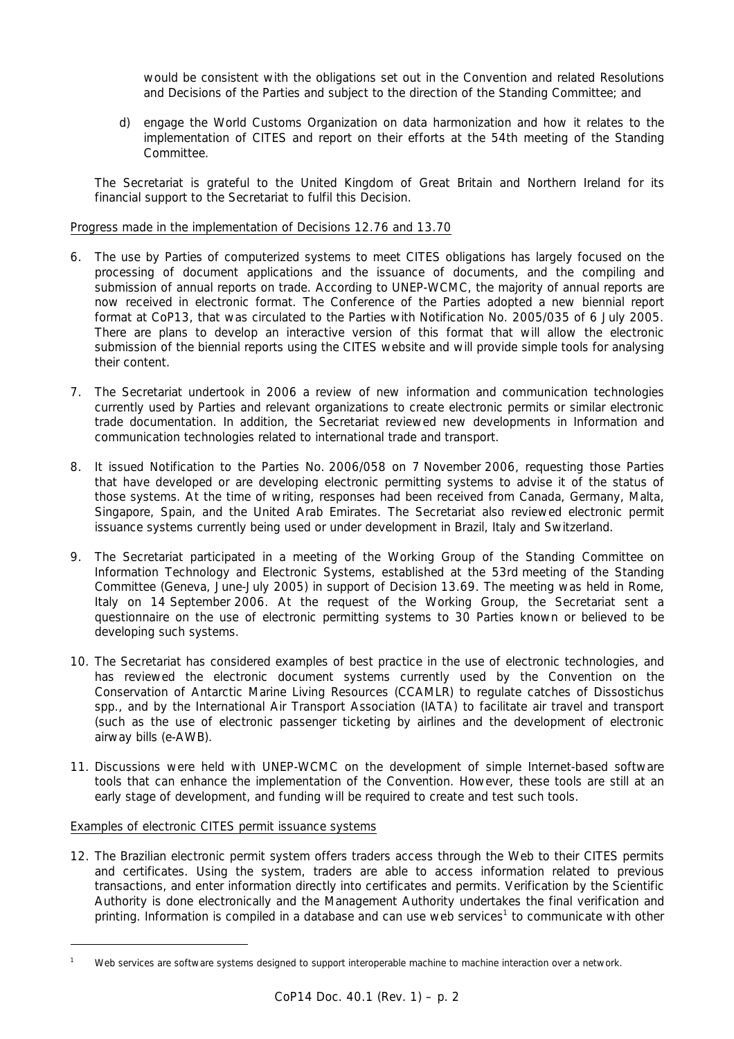*would be consistent with the obligations set out in the Convention and related Resolutions and Decisions of the Parties and subject to the direction of the Standing Committee; and* 

 *d) engage the World Customs Organization on data harmonization and how it relates to the implementation of CITES and report on their efforts at the 54th meeting of the Standing Committee.*

 The Secretariat is grateful to the United Kingdom of Great Britain and Northern Ireland for its financial support to the Secretariat to fulfil this Decision.

## Progress made in the implementation of Decisions 12.76 and 13.70

- 6. The use by Parties of computerized systems to meet CITES obligations has largely focused on the processing of document applications and the issuance of documents, and the compiling and submission of annual reports on trade. According to UNEP-WCMC, the majority of annual reports are now received in electronic format. The Conference of the Parties adopted a new biennial report format at CoP13, that was circulated to the Parties with Notification No. 2005/035 of 6 July 2005. There are plans to develop an interactive version of this format that will allow the electronic submission of the biennial reports using the CITES website and will provide simple tools for analysing their content.
- 7. The Secretariat undertook in 2006 a review of new information and communication technologies currently used by Parties and relevant organizations to create electronic permits or similar electronic trade documentation. In addition, the Secretariat reviewed new developments in Information and communication technologies related to international trade and transport.
- 8. It issued Notification to the Parties No. 2006/058 on 7 November 2006, requesting those Parties that have developed or are developing electronic permitting systems to advise it of the status of those systems. At the time of writing, responses had been received from Canada, Germany, Malta, Singapore, Spain, and the United Arab Emirates. The Secretariat also reviewed electronic permit issuance systems currently being used or under development in Brazil, Italy and Switzerland.
- 9. The Secretariat participated in a meeting of the Working Group of the Standing Committee on Information Technology and Electronic Systems, established at the 53rd meeting of the Standing Committee (Geneva, June-July 2005) in support of Decision 13.69. The meeting was held in Rome, Italy on 14 September 2006. At the request of the Working Group, the Secretariat sent a questionnaire on the use of electronic permitting systems to 30 Parties known or believed to be developing such systems.
- 10. The Secretariat has considered examples of best practice in the use of electronic technologies, and has reviewed the electronic document systems currently used by the Convention on the Conservation of Antarctic Marine Living Resources (CCAMLR) to regulate catches of *Dissostichus* spp., and by the International Air Transport Association (IATA) to facilitate air travel and transport (such as the use of electronic passenger ticketing by airlines and the development of electronic airway bills (e-AWB).
- 11. Discussions were held with UNEP-WCMC on the development of simple Internet-based software tools that can enhance the implementation of the Convention. However, these tools are still at an early stage of development, and funding will be required to create and test such tools.

Examples of electronic CITES permit issuance systems

l

12. The Brazilian electronic permit system offers traders access through the Web to their CITES permits and certificates. Using the system, traders are able to access information related to previous transactions, and enter information directly into certificates and permits. Verification by the Scientific Authority is done electronically and the Management Authority undertakes the final verification and printing. Information is compiled in a database and can use web services<sup>1</sup> to communicate with other

*<sup>1</sup> Web services are software systems designed to support interoperable machine to machine interaction over a network.*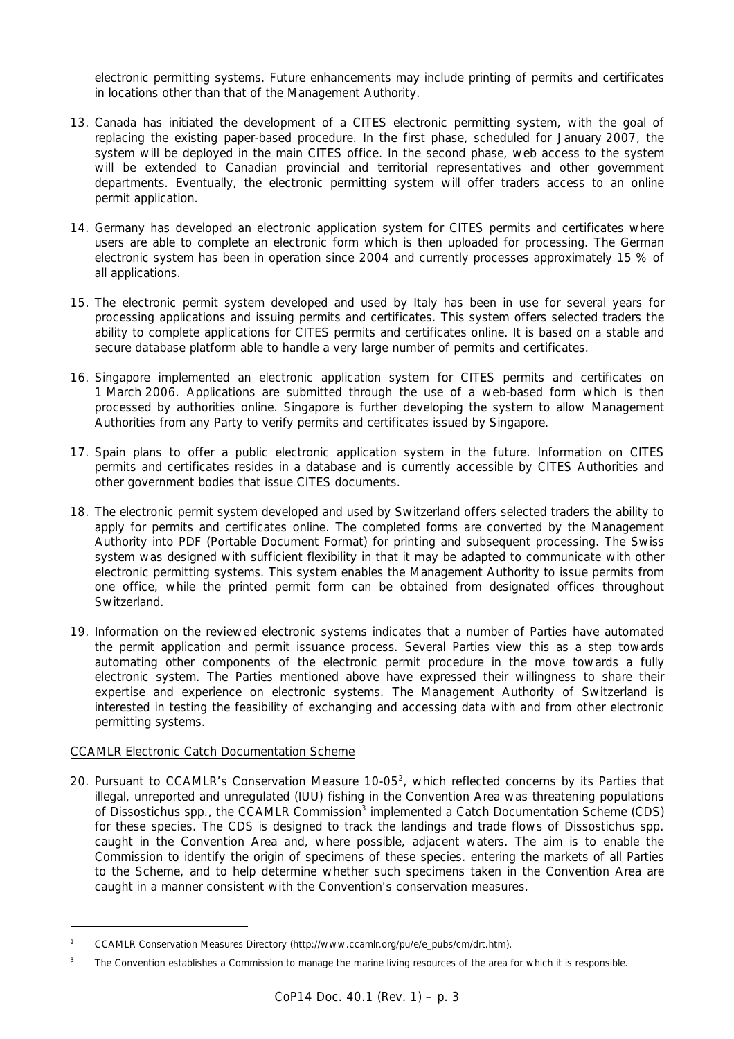electronic permitting systems. Future enhancements may include printing of permits and certificates in locations other than that of the Management Authority.

- 13. Canada has initiated the development of a CITES electronic permitting system, with the goal of replacing the existing paper-based procedure. In the first phase, scheduled for January 2007, the system will be deployed in the main CITES office. In the second phase, web access to the system will be extended to Canadian provincial and territorial representatives and other government departments. Eventually, the electronic permitting system will offer traders access to an online permit application.
- 14. Germany has developed an electronic application system for CITES permits and certificates where users are able to complete an electronic form which is then uploaded for processing. The German electronic system has been in operation since 2004 and currently processes approximately 15 % of all applications.
- 15. The electronic permit system developed and used by Italy has been in use for several years for processing applications and issuing permits and certificates. This system offers selected traders the ability to complete applications for CITES permits and certificates online. It is based on a stable and secure database platform able to handle a very large number of permits and certificates.
- 16. Singapore implemented an electronic application system for CITES permits and certificates on 1 March 2006. Applications are submitted through the use of a web-based form which is then processed by authorities online. Singapore is further developing the system to allow Management Authorities from any Party to verify permits and certificates issued by Singapore.
- 17. Spain plans to offer a public electronic application system in the future. Information on CITES permits and certificates resides in a database and is currently accessible by CITES Authorities and other government bodies that issue CITES documents.
- 18. The electronic permit system developed and used by Switzerland offers selected traders the ability to apply for permits and certificates online. The completed forms are converted by the Management Authority into PDF (Portable Document Format) for printing and subsequent processing. The Swiss system was designed with sufficient flexibility in that it may be adapted to communicate with other electronic permitting systems. This system enables the Management Authority to issue permits from one office, while the printed permit form can be obtained from designated offices throughout Switzerland.
- 19. Information on the reviewed electronic systems indicates that a number of Parties have automated the permit application and permit issuance process. Several Parties view this as a step towards automating other components of the electronic permit procedure in the move towards a fully electronic system. The Parties mentioned above have expressed their willingness to share their expertise and experience on electronic systems. The Management Authority of Switzerland is interested in testing the feasibility of exchanging and accessing data with and from other electronic permitting systems.

# CCAMLR Electronic Catch Documentation Scheme

l

20. Pursuant to CCAMLR's Conservation Measure  $10-05^2$ , which reflected concerns by its Parties that illegal, unreported and unregulated (IUU) fishing in the Convention Area was threatening populations of *Dissostichus* spp., the CCAMLR Commission<sup>3</sup> implemented a Catch Documentation Scheme (CDS) for these species. The CDS is designed to track the landings and trade flows of *Dissostichus* spp. caught in the Convention Area and, where possible, adjacent waters. The aim is to enable the Commission to identify the origin of specimens of these species. entering the markets of all Parties to the Scheme, and to help determine whether such specimens taken in the Convention Area are caught in a manner consistent with the Convention's conservation measures.

*<sup>2</sup> CCAMLR Conservation Measures Directory (http://www.ccamlr.org/pu/e/e\_pubs/cm/drt.htm).* 

*<sup>3</sup> The Convention establishes a Commission to manage the marine living resources of the area for which it is responsible.*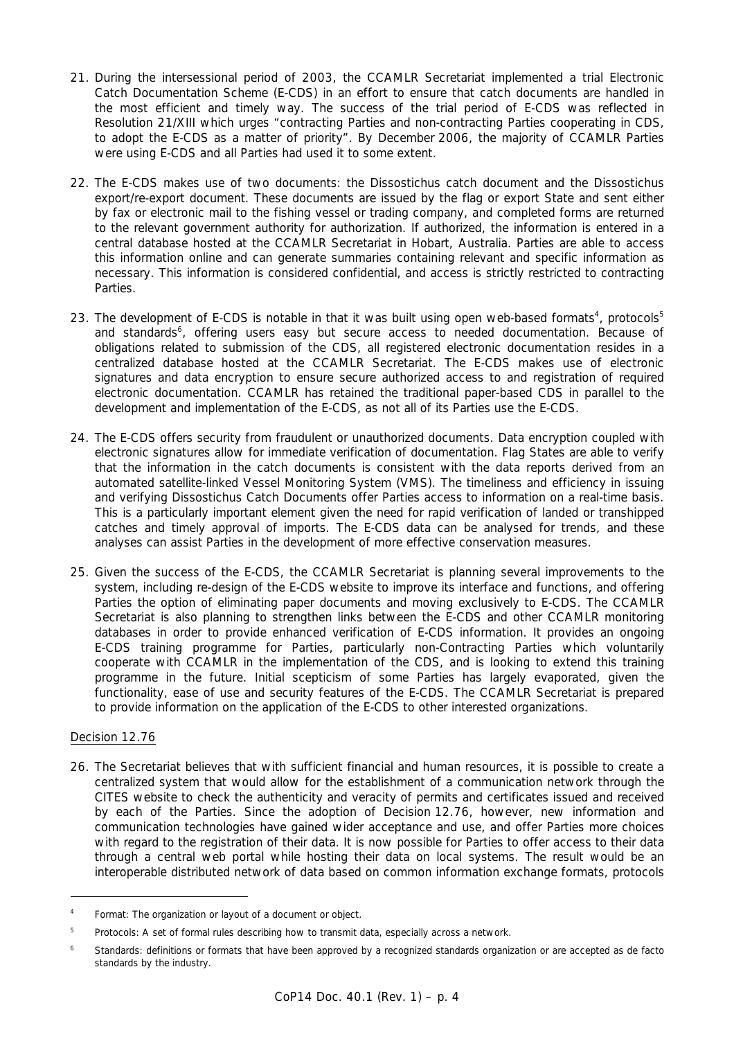- 21. During the intersessional period of 2003, the CCAMLR Secretariat implemented a trial Electronic Catch Documentation Scheme (E-CDS) in an effort to ensure that catch documents are handled in the most efficient and timely way. The success of the trial period of E-CDS was reflected in Resolution 21/XIII which urges "contracting Parties and non-contracting Parties cooperating in CDS, to adopt the E-CDS as a matter of priority". By December 2006, the majority of CCAMLR Parties were using E-CDS and all Parties had used it to some extent.
- 22. The E-CDS makes use of two documents: the *Dissostichus* catch document and the *Dissostichus* export/re-export document. These documents are issued by the flag or export State and sent either by fax or electronic mail to the fishing vessel or trading company, and completed forms are returned to the relevant government authority for authorization. If authorized, the information is entered in a central database hosted at the CCAMLR Secretariat in Hobart, Australia. Parties are able to access this information online and can generate summaries containing relevant and specific information as necessary. This information is considered confidential, and access is strictly restricted to contracting Parties.
- 23. The development of E-CDS is notable in that it was built using open web-based formats<sup>4</sup>, protocols<sup>5</sup> and standards<sup>6</sup>, offering users easy but secure access to needed documentation. Because of obligations related to submission of the CDS, all registered electronic documentation resides in a centralized database hosted at the CCAMLR Secretariat. The E-CDS makes use of electronic signatures and data encryption to ensure secure authorized access to and registration of required electronic documentation. CCAMLR has retained the traditional paper-based CDS in parallel to the development and implementation of the E-CDS, as not all of its Parties use the E-CDS.
- 24. The E-CDS offers security from fraudulent or unauthorized documents. Data encryption coupled with electronic signatures allow for immediate verification of documentation. Flag States are able to verify that the information in the catch documents is consistent with the data reports derived from an automated satellite-linked Vessel Monitoring System (VMS). The timeliness and efficiency in issuing and verifying *Dissostichus* Catch Documents offer Parties access to information on a real-time basis. This is a particularly important element given the need for rapid verification of landed or transhipped catches and timely approval of imports. The E-CDS data can be analysed for trends, and these analyses can assist Parties in the development of more effective conservation measures.
- 25. Given the success of the E-CDS, the CCAMLR Secretariat is planning several improvements to the system, including re-design of the E-CDS website to improve its interface and functions, and offering Parties the option of eliminating paper documents and moving exclusively to E-CDS. The CCAMLR Secretariat is also planning to strengthen links between the E-CDS and other CCAMLR monitoring databases in order to provide enhanced verification of E-CDS information. It provides an ongoing E-CDS training programme for Parties, particularly non-Contracting Parties which voluntarily cooperate with CCAMLR in the implementation of the CDS, and is looking to extend this training programme in the future. Initial scepticism of some Parties has largely evaporated, given the functionality, ease of use and security features of the E-CDS. The CCAMLR Secretariat is prepared to provide information on the application of the E-CDS to other interested organizations.

# Decision 12.76

l

26. The Secretariat believes that with sufficient financial and human resources, it is possible to create a centralized system that would allow for the establishment of a communication network through the CITES website to check the authenticity and veracity of permits and certificates issued and received by each of the Parties. Since the adoption of Decision 12.76, however, new information and communication technologies have gained wider acceptance and use, and offer Parties more choices with regard to the registration of their data. It is now possible for Parties to offer access to their data through a central web portal while hosting their data on local systems. The result would be an interoperable distributed network of data based on common information exchange formats, protocols

*<sup>4</sup> Format: The organization or layout of a document or object.* 

*<sup>5</sup> Protocols: A set of formal rules describing how to transmit data, especially across a network.* 

*<sup>6</sup> Standards: definitions or formats that have been approved by a recognized standards organization or are accepted as de facto standards by the industry.*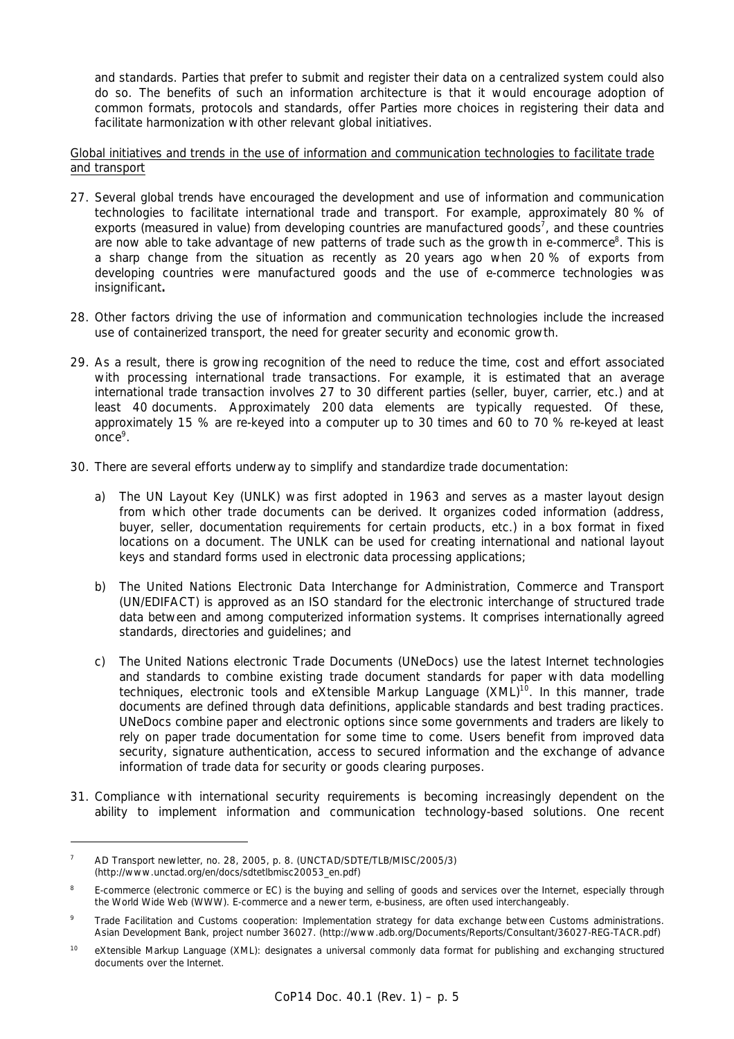and standards. Parties that prefer to submit and register their data on a centralized system could also do so. The benefits of such an information architecture is that it would encourage adoption of common formats, protocols and standards, offer Parties more choices in registering their data and facilitate harmonization with other relevant global initiatives.

Global initiatives and trends in the use of information and communication technologies to facilitate trade and transport

- 27. Several global trends have encouraged the development and use of information and communication technologies to facilitate international trade and transport. For example, approximately 80 % of exports (measured in value) from developing countries are manufactured goods<sup>7</sup>, and these countries are now able to take advantage of new patterns of trade such as the growth in e-commerce<sup>8</sup>. This is a sharp change from the situation as recently as 20 years ago when 20 % of exports from developing countries were manufactured goods and the use of e-commerce technologies was insignificant**.**
- 28. Other factors driving the use of information and communication technologies include the increased use of containerized transport, the need for greater security and economic growth.
- 29. As a result, there is growing recognition of the need to reduce the time, cost and effort associated with processing international trade transactions. For example, it is estimated that an average international trade transaction involves 27 to 30 different parties (seller, buyer, carrier, etc.) and at least 40 documents. Approximately 200 data elements are typically requested. Of these, approximately 15 % are re-keyed into a computer up to 30 times and 60 to 70 % re-keyed at least once<sup>9</sup>.
- 30. There are several efforts underway to simplify and standardize trade documentation:
	- a) The UN Layout Key (UNLK) was first adopted in 1963 and serves as a master layout design from which other trade documents can be derived. It organizes coded information (address, buyer, seller, documentation requirements for certain products, etc.) in a box format in fixed locations on a document. The UNLK can be used for creating international and national layout keys and standard forms used in electronic data processing applications;
	- b) The United Nations Electronic Data Interchange for Administration, Commerce and Transport (UN/EDIFACT) is approved as an ISO standard for the electronic interchange of structured trade data between and among computerized information systems. It comprises internationally agreed standards, directories and guidelines; and
	- c) The United Nations electronic Trade Documents (UNeDocs) use the latest Internet technologies and standards to combine existing trade document standards for paper with data modelling techniques, electronic tools and eXtensible Markup Language (XML)<sup>10</sup>. In this manner, trade documents are defined through data definitions, applicable standards and best trading practices. UNeDocs combine paper and electronic options since some governments and traders are likely to rely on paper trade documentation for some time to come. Users benefit from improved data security, signature authentication, access to secured information and the exchange of advance information of trade data for security or goods clearing purposes.
- 31. Compliance with international security requirements is becoming increasingly dependent on the ability to implement information and communication technology-based solutions. One recent

 $\overline{a}$ 

*<sup>7</sup> AD Transport newletter, no. 28, 2005, p. 8. (UNCTAD/SDTE/TLB/MISC/2005/3) (http://www.unctad.org/en/docs/sdtetlbmisc20053\_en.pdf)* 

*<sup>8</sup> E-commerce (electronic commerce or EC) is the buying and selling of goods and services over the Internet, especially through the World Wide Web (WWW). E-commerce and a newer term, e-business, are often used interchangeably.* 

*<sup>9</sup> Trade Facilitation and Customs cooperation: Implementation strategy for data exchange between Customs administrations. Asian Development Bank, project number 36027. (http://www.adb.org/Documents/Reports/Consultant/36027-REG-TACR.pdf)* 

*<sup>10</sup> eXtensible Markup Language (XML): designates a universal commonly data format for publishing and exchanging structured documents over the Internet.*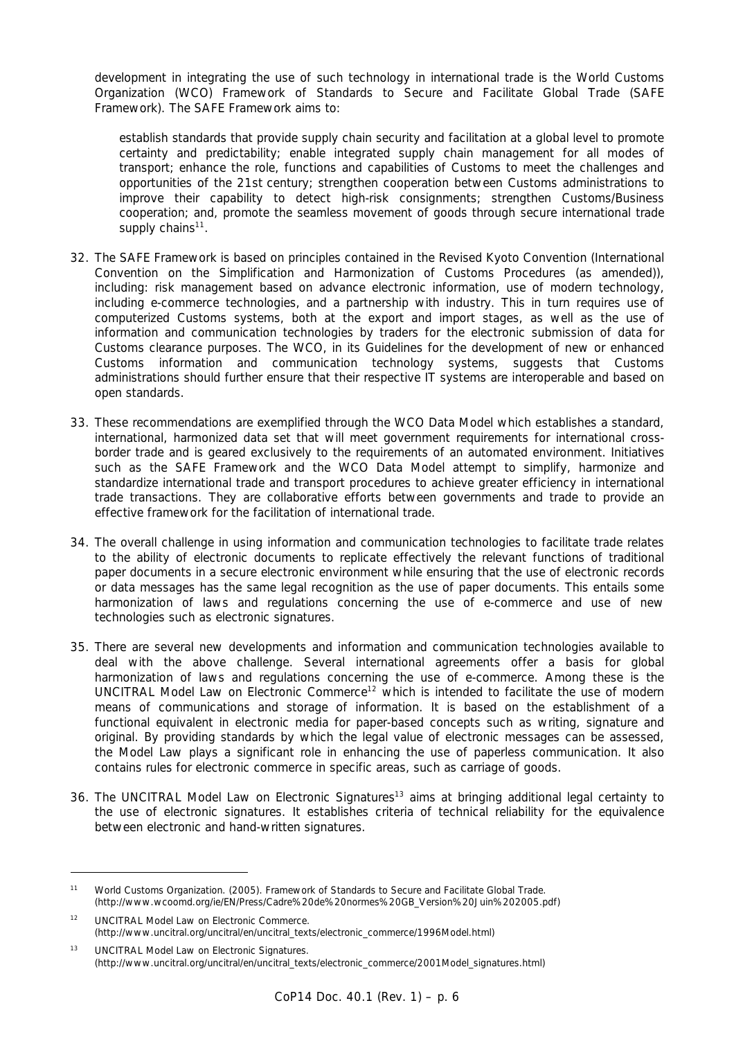development in integrating the use of such technology in international trade is the World Customs Organization (WCO) Framework of Standards to Secure and Facilitate Global Trade (SAFE Framework). The SAFE Framework aims to:

 *establish standards that provide supply chain security and facilitation at a global level to promote certainty and predictability; enable integrated supply chain management for all modes of transport; enhance the role, functions and capabilities of Customs to meet the challenges and opportunities of the* 21st century*; strengthen cooperation between Customs administrations to improve their capability to detect high-risk consignments; strengthen Customs/Business cooperation; and, promote the seamless movement of goods through secure international trade*  supply chains<sup>11</sup>.

- 32. The SAFE Framework is based on principles contained in the Revised Kyoto Convention (International Convention on the Simplification and Harmonization of Customs Procedures (as amended)), including: risk management based on advance electronic information, use of modern technology, including e-commerce technologies, and a partnership with industry. This in turn requires use of computerized Customs systems, both at the export and import stages, as well as the use of information and communication technologies by traders for the electronic submission of data for Customs clearance purposes. The WCO, in its *Guidelines for the development of new or enhanced Customs information and communication technology systems*, suggests that Customs administrations should further ensure that their respective IT systems are interoperable and based on open standards.
- 33. These recommendations are exemplified through the WCO Data Model which establishes a standard, international, harmonized data set that will meet government requirements for international crossborder trade and is geared exclusively to the requirements of an automated environment. Initiatives such as the SAFE Framework and the WCO Data Model attempt to simplify, harmonize and standardize international trade and transport procedures to achieve greater efficiency in international trade transactions. They are collaborative efforts between governments and trade to provide an effective framework for the facilitation of international trade.
- 34. The overall challenge in using information and communication technologies to facilitate trade relates to the ability of electronic documents to replicate effectively the relevant functions of traditional paper documents in a secure electronic environment while ensuring that the use of electronic records or data messages has the same legal recognition as the use of paper documents. This entails some harmonization of laws and regulations concerning the use of e-commerce and use of new technologies such as electronic signatures.
- 35. There are several new developments and information and communication technologies available to deal with the above challenge. Several international agreements offer a basis for global harmonization of laws and regulations concerning the use of e-commerce. Among these is the UNCITRAL Model Law on Electronic Commerce<sup>12</sup> which is intended to facilitate the use of modern means of communications and storage of information. It is based on the establishment of a functional equivalent in electronic media for paper-based concepts such as writing, signature and original. By providing standards by which the legal value of electronic messages can be assessed, the Model Law plays a significant role in enhancing the use of paperless communication. It also contains rules for electronic commerce in specific areas, such as carriage of goods.
- 36. The UNCITRAL Model Law on Electronic Signatures<sup>13</sup> aims at bringing additional legal certainty to the use of electronic signatures. It establishes criteria of technical reliability for the equivalence between electronic and hand-written signatures.

l

*<sup>11</sup> World Customs Organization. (2005). Framework of Standards to Secure and Facilitate Global Trade. (http://www.wcoomd.org/ie/EN/Press/Cadre%20de%20normes%20GB\_Version%20Juin%202005.pdf)* 

*<sup>12</sup> UNCITRAL Model Law on Electronic Commerce. (http://www.uncitral.org/uncitral/en/uncitral\_texts/electronic\_commerce/1996Model.html)* 

*<sup>13</sup> UNCITRAL Model Law on Electronic Signatures. (http://www.uncitral.org/uncitral/en/uncitral\_texts/electronic\_commerce/2001Model\_signatures.html)*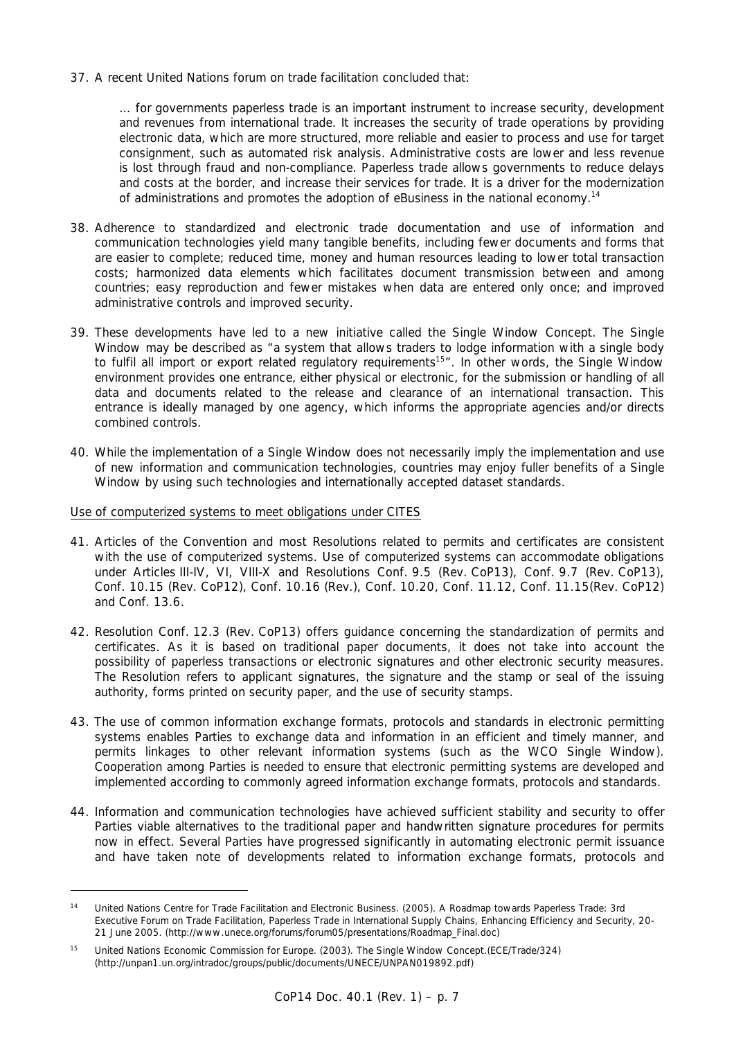37. A recent United Nations forum on trade facilitation concluded that:

 *… for governments paperless trade is an important instrument to increase security, development and revenues from international trade. It increases the security of trade operations by providing electronic data, which are more structured, more reliable and easier to process and use for target consignment, such as automated risk analysis. Administrative costs are lower and less revenue is lost through fraud and non-compliance. Paperless trade allows governments to reduce delays and costs at the border, and increase their services for trade. It is a driver for the modernization of administrations and promotes the adoption of eBusiness in the national economy.14*

- 38. Adherence to standardized and electronic trade documentation and use of information and communication technologies yield many tangible benefits, including fewer documents and forms that are easier to complete; reduced time, money and human resources leading to lower total transaction costs; harmonized data elements which facilitates document transmission between and among countries; easy reproduction and fewer mistakes when data are entered only once; and improved administrative controls and improved security.
- 39. These developments have led to a new initiative called the Single Window Concept. The Single Window may be described as "a system that allows traders to lodge information with a single body to fulfil all import or export related regulatory requirements<sup>15</sup>". In other words, the Single Window environment provides one entrance, either physical or electronic, for the submission or handling of all data and documents related to the release and clearance of an international transaction. This entrance is ideally managed by one agency, which informs the appropriate agencies and/or directs combined controls.
- 40. While the implementation of a Single Window does not necessarily imply the implementation and use of new information and communication technologies, countries may enjoy fuller benefits of a Single Window by using such technologies and internationally accepted dataset standards.

### Use of computerized systems to meet obligations under CITES

l

- 41. Articles of the Convention and most Resolutions related to permits and certificates are consistent with the use of computerized systems. Use of computerized systems can accommodate obligations under Articles III-IV, VI, VIII-X and Resolutions Conf. 9.5 (Rev. CoP13), Conf. 9.7 (Rev. CoP13), Conf. 10.15 (Rev. CoP12), Conf. 10.16 (Rev.), Conf. 10.20, Conf. 11.12, Conf. 11.15(Rev. CoP12) and Conf. 13.6.
- 42. Resolution Conf. 12.3 (Rev. CoP13) offers guidance concerning the standardization of permits and certificates. As it is based on traditional paper documents, it does not take into account the possibility of paperless transactions or electronic signatures and other electronic security measures. The Resolution refers to applicant signatures, the signature and the stamp or seal of the issuing authority, forms printed on security paper, and the use of security stamps.
- 43. The use of common information exchange formats, protocols and standards in electronic permitting systems enables Parties to exchange data and information in an efficient and timely manner, and permits linkages to other relevant information systems (such as the WCO Single Window). Cooperation among Parties is needed to ensure that electronic permitting systems are developed and implemented according to commonly agreed information exchange formats, protocols and standards.
- 44. Information and communication technologies have achieved sufficient stability and security to offer Parties viable alternatives to the traditional paper and handwritten signature procedures for permits now in effect. Several Parties have progressed significantly in automating electronic permit issuance and have taken note of developments related to information exchange formats, protocols and

*<sup>14</sup> United Nations Centre for Trade Facilitation and Electronic Business. (2005). A Roadmap towards Paperless Trade: 3rd Executive Forum on Trade Facilitation, Paperless Trade in International Supply Chains, Enhancing Efficiency and Security, 20- 21 June 2005. (http://www.unece.org/forums/forum05/presentations/Roadmap\_Final.doc)* 

*<sup>15</sup> United Nations Economic Commission for Europe. (2003). The Single Window Concept.(ECE/Trade/324) (http://unpan1.un.org/intradoc/groups/public/documents/UNECE/UNPAN019892.pdf)*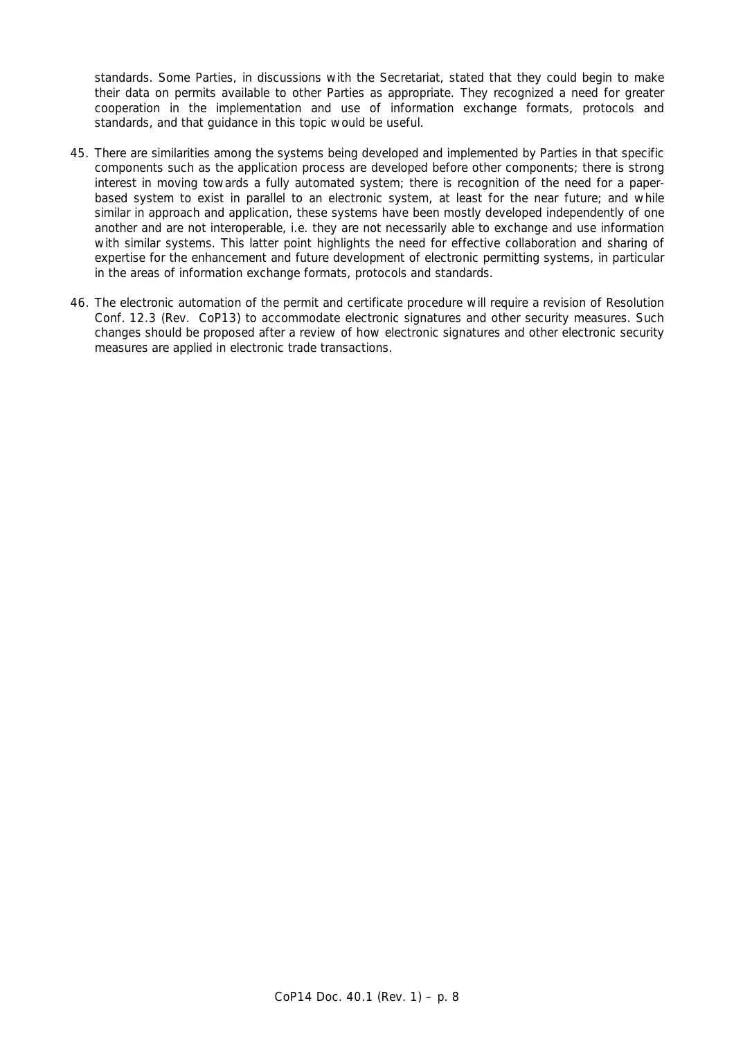standards. Some Parties, in discussions with the Secretariat, stated that they could begin to make their data on permits available to other Parties as appropriate. They recognized a need for greater cooperation in the implementation and use of information exchange formats, protocols and standards, and that guidance in this topic would be useful.

- 45. There are similarities among the systems being developed and implemented by Parties in that specific components such as the application process are developed before other components; there is strong interest in moving towards a fully automated system; there is recognition of the need for a paperbased system to exist in parallel to an electronic system, at least for the near future; and while similar in approach and application, these systems have been mostly developed independently of one another and are not interoperable, i.e. they are not necessarily able to exchange and use information with similar systems. This latter point highlights the need for effective collaboration and sharing of expertise for the enhancement and future development of electronic permitting systems, in particular in the areas of information exchange formats, protocols and standards.
- 46. The electronic automation of the permit and certificate procedure will require a revision of Resolution Conf. 12.3 (Rev. CoP13) to accommodate electronic signatures and other security measures. Such changes should be proposed after a review of how electronic signatures and other electronic security measures are applied in electronic trade transactions.